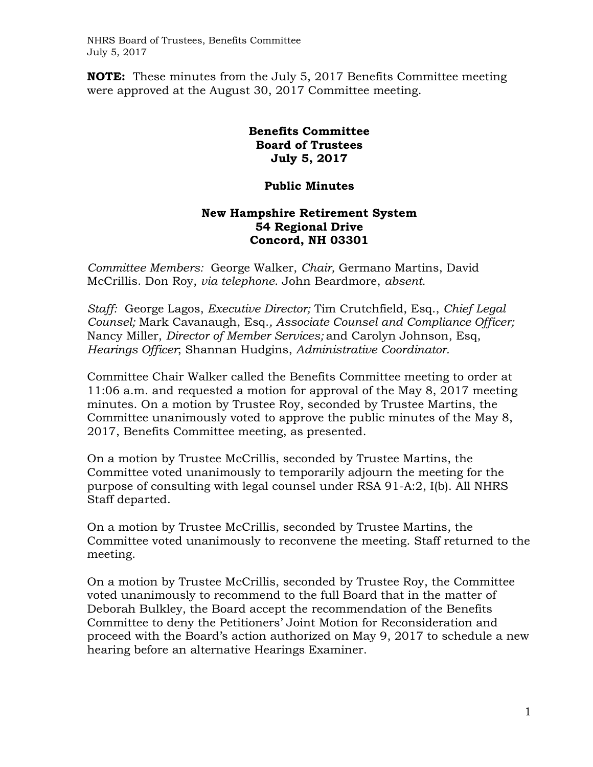NHRS Board of Trustees, Benefits Committee July 5, 2017

**NOTE:** These minutes from the July 5, 2017 Benefits Committee meeting were approved at the August 30, 2017 Committee meeting.

## **Benefits Committee Board of Trustees July 5, 2017**

## **Public Minutes**

## **New Hampshire Retirement System 54 Regional Drive Concord, NH 03301**

*Committee Members:* George Walker, *Chair,* Germano Martins, David McCrillis. Don Roy, *via telephone*. John Beardmore, *absent.*

*Staff:* George Lagos, *Executive Director;* Tim Crutchfield, Esq., *Chief Legal Counsel;* Mark Cavanaugh, Esq.*, Associate Counsel and Compliance Officer;*  Nancy Miller, *Director of Member Services;* and Carolyn Johnson, Esq, *Hearings Officer*; Shannan Hudgins, *Administrative Coordinator.* 

Committee Chair Walker called the Benefits Committee meeting to order at 11:06 a.m. and requested a motion for approval of the May 8, 2017 meeting minutes. On a motion by Trustee Roy, seconded by Trustee Martins, the Committee unanimously voted to approve the public minutes of the May 8, 2017, Benefits Committee meeting, as presented.

On a motion by Trustee McCrillis, seconded by Trustee Martins, the Committee voted unanimously to temporarily adjourn the meeting for the purpose of consulting with legal counsel under RSA 91-A:2, I(b). All NHRS Staff departed.

On a motion by Trustee McCrillis, seconded by Trustee Martins, the Committee voted unanimously to reconvene the meeting. Staff returned to the meeting.

On a motion by Trustee McCrillis, seconded by Trustee Roy, the Committee voted unanimously to recommend to the full Board that in the matter of Deborah Bulkley, the Board accept the recommendation of the Benefits Committee to deny the Petitioners' Joint Motion for Reconsideration and proceed with the Board's action authorized on May 9, 2017 to schedule a new hearing before an alternative Hearings Examiner.